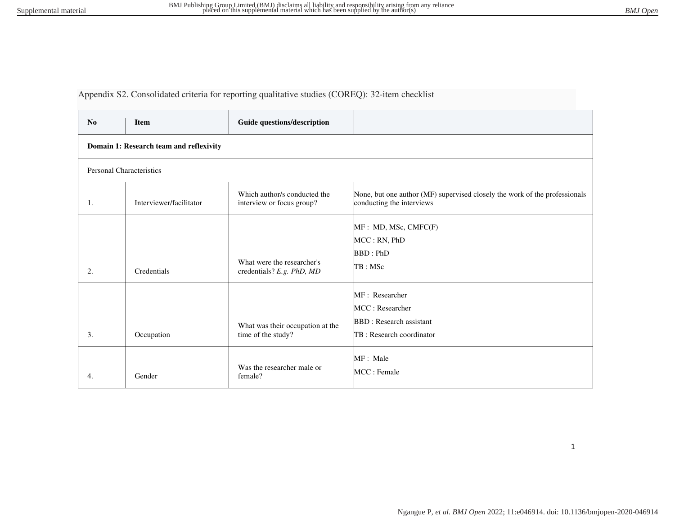## Appendix S2. Consolidated criteria for reporting qualitative studies (COREQ): 32-item checklist

| N <sub>0</sub>                          | <b>Item</b>             | Guide questions/description                               |                                                                                                         |  |
|-----------------------------------------|-------------------------|-----------------------------------------------------------|---------------------------------------------------------------------------------------------------------|--|
| Domain 1: Research team and reflexivity |                         |                                                           |                                                                                                         |  |
| <b>Personal Characteristics</b>         |                         |                                                           |                                                                                                         |  |
| 1.                                      | Interviewer/facilitator | Which author/s conducted the<br>interview or focus group? | None, but one author (MF) supervised closely the work of the professionals<br>conducting the interviews |  |
| 2.                                      | Credentials             | What were the researcher's<br>credentials? E.g. PhD, MD   | MF : MD, MSc, CMFC(F)<br>MCC: RN, PhD<br>BBD : PhD<br>TB: MSc                                           |  |
| 3.                                      | Occupation              | What was their occupation at the<br>time of the study?    | MF: Researcher<br>MCC: Researcher<br><b>BBD</b> : Research assistant<br>TB: Research coordinator        |  |
| 4.                                      | Gender                  | Was the researcher male or<br>female?                     | MF: Male<br>MCC: Female                                                                                 |  |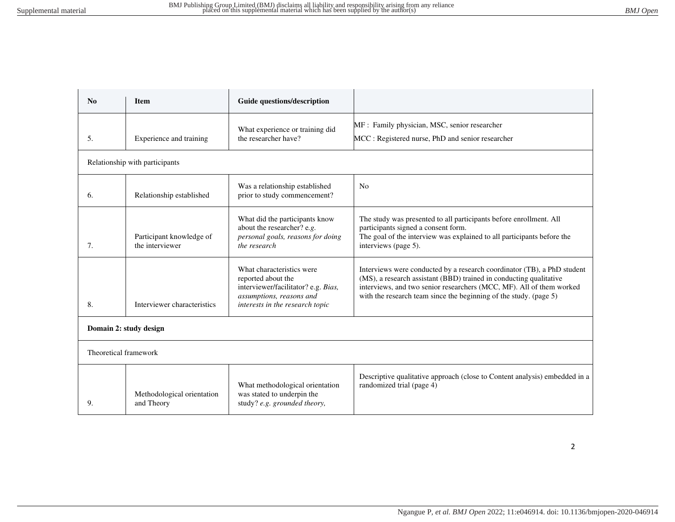| $\mathbf{N}\mathbf{0}$ | <b>Item</b>                                 | Guide questions/description                                                                                                                           |                                                                                                                                                                                                                                                                                            |  |
|------------------------|---------------------------------------------|-------------------------------------------------------------------------------------------------------------------------------------------------------|--------------------------------------------------------------------------------------------------------------------------------------------------------------------------------------------------------------------------------------------------------------------------------------------|--|
| 5.                     | Experience and training                     | What experience or training did<br>the researcher have?                                                                                               | MF : Family physician, MSC, senior researcher<br>MCC: Registered nurse, PhD and senior researcher                                                                                                                                                                                          |  |
|                        | Relationship with participants              |                                                                                                                                                       |                                                                                                                                                                                                                                                                                            |  |
| 6.                     | Relationship established                    | Was a relationship established<br>prior to study commencement?                                                                                        | N <sub>0</sub>                                                                                                                                                                                                                                                                             |  |
| 7.                     | Participant knowledge of<br>the interviewer | What did the participants know<br>about the researcher? e.g.<br>personal goals, reasons for doing<br>the research                                     | The study was presented to all participants before enrollment. All<br>participants signed a consent form.<br>The goal of the interview was explained to all participants before the<br>interviews (page 5).                                                                                |  |
| 8.                     | Interviewer characteristics                 | What characteristics were<br>reported about the<br>interviewer/facilitator? e.g. Bias,<br>assumptions, reasons and<br>interests in the research topic | Interviews were conducted by a research coordinator (TB), a PhD student<br>(MS), a research assistant (BBD) trained in conducting qualitative<br>interviews, and two senior researchers (MCC, MF). All of them worked<br>with the research team since the beginning of the study. (page 5) |  |
| Domain 2: study design |                                             |                                                                                                                                                       |                                                                                                                                                                                                                                                                                            |  |
| Theoretical framework  |                                             |                                                                                                                                                       |                                                                                                                                                                                                                                                                                            |  |
| 9.                     | Methodological orientation<br>and Theory    | What methodological orientation<br>was stated to underpin the<br>study? e.g. grounded theory,                                                         | Descriptive qualitative approach (close to Content analysis) embedded in a<br>randomized trial (page 4)                                                                                                                                                                                    |  |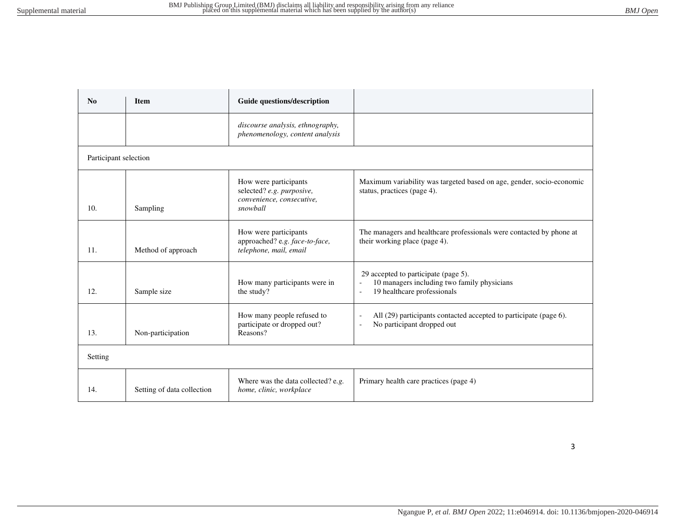| N <sub>0</sub>        | <b>Item</b>                | Guide questions/description                                                                 |                                                                                                                    |  |
|-----------------------|----------------------------|---------------------------------------------------------------------------------------------|--------------------------------------------------------------------------------------------------------------------|--|
|                       |                            | discourse analysis, ethnography,<br>phenomenology, content analysis                         |                                                                                                                    |  |
| Participant selection |                            |                                                                                             |                                                                                                                    |  |
| 10.                   | Sampling                   | How were participants<br>selected? e.g. purposive,<br>convenience, consecutive,<br>snowball | Maximum variability was targeted based on age, gender, socio-economic<br>status, practices (page 4).               |  |
| 11.                   | Method of approach         | How were participants<br>approached? e.g. face-to-face,<br>telephone, mail, email           | The managers and healthcare professionals were contacted by phone at<br>their working place (page 4).              |  |
| 12.                   | Sample size                | How many participants were in<br>the study?                                                 | 29 accepted to participate (page 5).<br>10 managers including two family physicians<br>19 healthcare professionals |  |
| 13.                   | Non-participation          | How many people refused to<br>participate or dropped out?<br>Reasons?                       | All (29) participants contacted accepted to participate (page 6).<br>No participant dropped out                    |  |
| Setting               |                            |                                                                                             |                                                                                                                    |  |
| 14.                   | Setting of data collection | Where was the data collected? e.g.<br>home, clinic, workplace                               | Primary health care practices (page 4)                                                                             |  |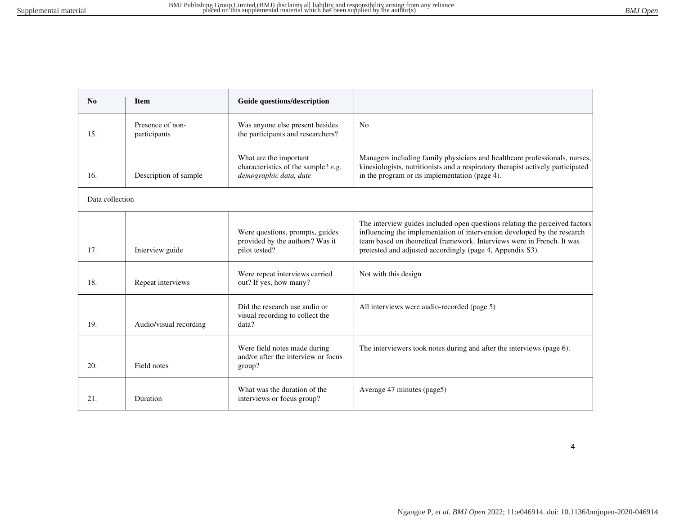| $\mathbf{N}\mathbf{0}$ | <b>Item</b>                      | Guide questions/description                                                             |                                                                                                                                                                                                                                                                                                |
|------------------------|----------------------------------|-----------------------------------------------------------------------------------------|------------------------------------------------------------------------------------------------------------------------------------------------------------------------------------------------------------------------------------------------------------------------------------------------|
| 15.                    | Presence of non-<br>participants | Was anyone else present besides<br>the participants and researchers?                    | No                                                                                                                                                                                                                                                                                             |
| 16.                    | Description of sample            | What are the important<br>characteristics of the sample? e.g.<br>demographic data, date | Managers including family physicians and healthcare professionals, nurses,<br>kinesiologists, nutritionists and a respiratory therapist actively participated<br>in the program or its implementation (page 4).                                                                                |
| Data collection        |                                  |                                                                                         |                                                                                                                                                                                                                                                                                                |
| 17.                    | Interview guide                  | Were questions, prompts, guides<br>provided by the authors? Was it<br>pilot tested?     | The interview guides included open questions relating the perceived factors<br>influencing the implementation of intervention developed by the research<br>team based on theoretical framework. Interviews were in French. It was<br>pretested and adjusted accordingly (page 4, Appendix S3). |
| 18.                    | Repeat interviews                | Were repeat interviews carried<br>out? If yes, how many?                                | Not with this design                                                                                                                                                                                                                                                                           |
| 19.                    | Audio/visual recording           | Did the research use audio or<br>visual recording to collect the<br>data?               | All interviews were audio-recorded (page 5)                                                                                                                                                                                                                                                    |
| 20.                    | Field notes                      | Were field notes made during<br>and/or after the interview or focus<br>group?           | The interviewers took notes during and after the interviews (page 6).                                                                                                                                                                                                                          |
| 21.                    | Duration                         | What was the duration of the<br>interviews or focus group?                              | Average 47 minutes (page5)                                                                                                                                                                                                                                                                     |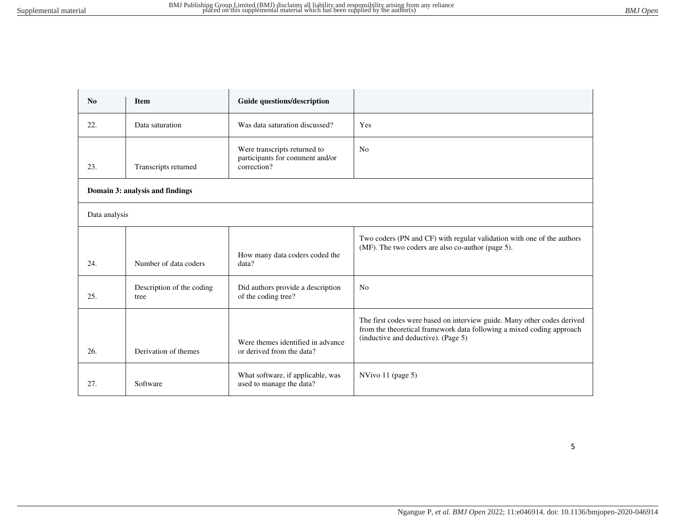| No                              | <b>Item</b>                       | Guide questions/description                                                    |                                                                                                                                                                                         |
|---------------------------------|-----------------------------------|--------------------------------------------------------------------------------|-----------------------------------------------------------------------------------------------------------------------------------------------------------------------------------------|
| 22.                             | Data saturation                   | Was data saturation discussed?                                                 | Yes                                                                                                                                                                                     |
| 23.                             | Transcripts returned              | Were transcripts returned to<br>participants for comment and/or<br>correction? | N <sub>0</sub>                                                                                                                                                                          |
| Domain 3: analysis and findings |                                   |                                                                                |                                                                                                                                                                                         |
| Data analysis                   |                                   |                                                                                |                                                                                                                                                                                         |
| 24.                             | Number of data coders             | How many data coders coded the<br>data?                                        | Two coders (PN and CF) with regular validation with one of the authors<br>(MF). The two coders are also co-author (page 5).                                                             |
| 25.                             | Description of the coding<br>tree | Did authors provide a description<br>of the coding tree?                       | No                                                                                                                                                                                      |
| 26.                             | Derivation of themes              | Were themes identified in advance<br>or derived from the data?                 | The first codes were based on interview guide. Many other codes derived<br>from the theoretical framework data following a mixed coding approach<br>(inductive and deductive). (Page 5) |
| 27.                             | Software                          | What software, if applicable, was<br>used to manage the data?                  | NVivo 11 (page 5)                                                                                                                                                                       |